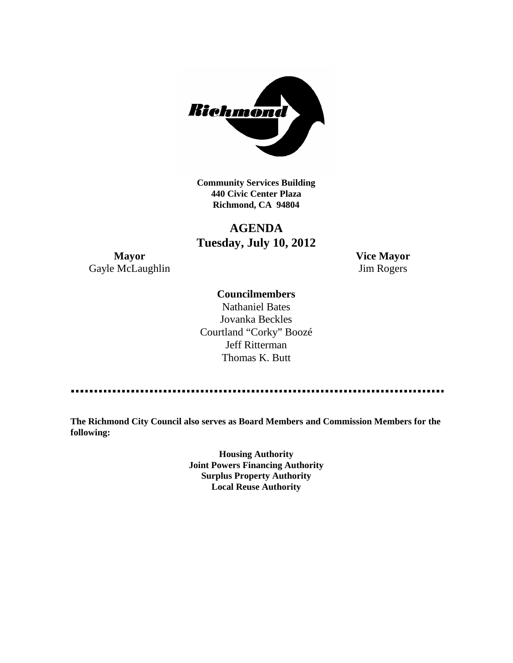

**Community Services Building 440 Civic Center Plaza Richmond, CA 94804**

## **AGENDA Tuesday, July 10, 2012**

**Mayor Vice Mayor** Gayle McLaughlin Jim Rogers

### **Councilmembers**

Nathaniel Bates Jovanka Beckles Courtland "Corky" Boozé Jeff Ritterman Thomas K. Butt

**The Richmond City Council also serves as Board Members and Commission Members for the following:**

> **Housing Authority Joint Powers Financing Authority Surplus Property Authority Local Reuse Authority**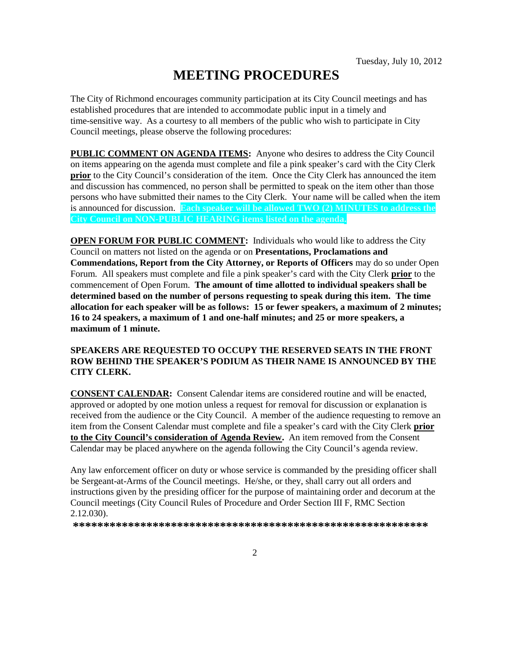# **MEETING PROCEDURES**

The City of Richmond encourages community participation at its City Council meetings and has established procedures that are intended to accommodate public input in a timely and time-sensitive way. As a courtesy to all members of the public who wish to participate in City Council meetings, please observe the following procedures:

**PUBLIC COMMENT ON AGENDA ITEMS:** Anyone who desires to address the City Council on items appearing on the agenda must complete and file a pink speaker's card with the City Clerk **prior** to the City Council's consideration of the item. Once the City Clerk has announced the item and discussion has commenced, no person shall be permitted to speak on the item other than those persons who have submitted their names to the City Clerk. Your name will be called when the item is announced for discussion. **Each speaker will be allowed TWO (2) MINUTES to address the City Council on NON-PUBLIC HEARING items listed on the agenda.**

**OPEN FORUM FOR PUBLIC COMMENT:** Individuals who would like to address the City Council on matters not listed on the agenda or on **Presentations, Proclamations and Commendations, Report from the City Attorney, or Reports of Officers** may do so under Open Forum. All speakers must complete and file a pink speaker's card with the City Clerk **prior** to the commencement of Open Forum. **The amount of time allotted to individual speakers shall be determined based on the number of persons requesting to speak during this item. The time allocation for each speaker will be as follows: 15 or fewer speakers, a maximum of 2 minutes; 16 to 24 speakers, a maximum of 1 and one-half minutes; and 25 or more speakers, a maximum of 1 minute.**

### **SPEAKERS ARE REQUESTED TO OCCUPY THE RESERVED SEATS IN THE FRONT ROW BEHIND THE SPEAKER'S PODIUM AS THEIR NAME IS ANNOUNCED BY THE CITY CLERK.**

**CONSENT CALENDAR:** Consent Calendar items are considered routine and will be enacted, approved or adopted by one motion unless a request for removal for discussion or explanation is received from the audience or the City Council. A member of the audience requesting to remove an item from the Consent Calendar must complete and file a speaker's card with the City Clerk **prior to the City Council's consideration of Agenda Review.** An item removed from the Consent Calendar may be placed anywhere on the agenda following the City Council's agenda review.

Any law enforcement officer on duty or whose service is commanded by the presiding officer shall be Sergeant-at-Arms of the Council meetings. He/she, or they, shall carry out all orders and instructions given by the presiding officer for the purpose of maintaining order and decorum at the Council meetings (City Council Rules of Procedure and Order Section III F, RMC Section 2.12.030).

**\*\*\*\*\*\*\*\*\*\*\*\*\*\*\*\*\*\*\*\*\*\*\*\*\*\*\*\*\*\*\*\*\*\*\*\*\*\*\*\*\*\*\*\*\*\*\*\*\*\*\*\*\*\*\*\*\*\***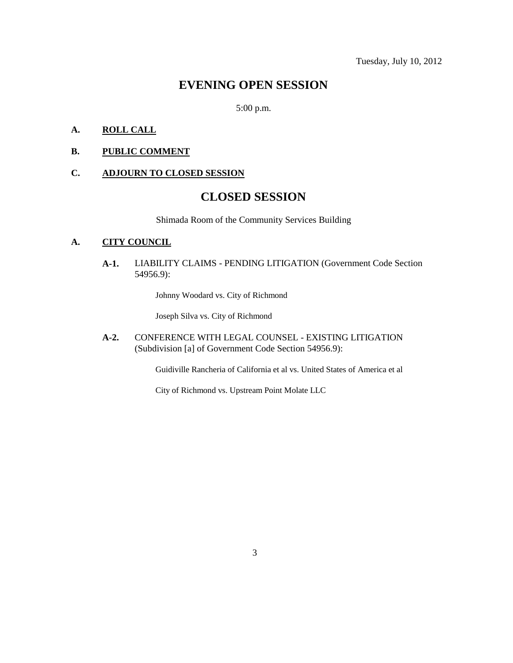### **EVENING OPEN SESSION**

5:00 p.m.

### **A. ROLL CALL**

**B. PUBLIC COMMENT**

### **C. ADJOURN TO CLOSED SESSION**

### **CLOSED SESSION**

Shimada Room of the Community Services Building

### **A. CITY COUNCIL**

**A-1.** LIABILITY CLAIMS - PENDING LITIGATION (Government Code Section 54956.9):

Johnny Woodard vs. City of Richmond

Joseph Silva vs. City of Richmond

**A-2.** CONFERENCE WITH LEGAL COUNSEL - EXISTING LITIGATION (Subdivision [a] of Government Code Section 54956.9):

Guidiville Rancheria of California et al vs. United States of America et al

City of Richmond vs. Upstream Point Molate LLC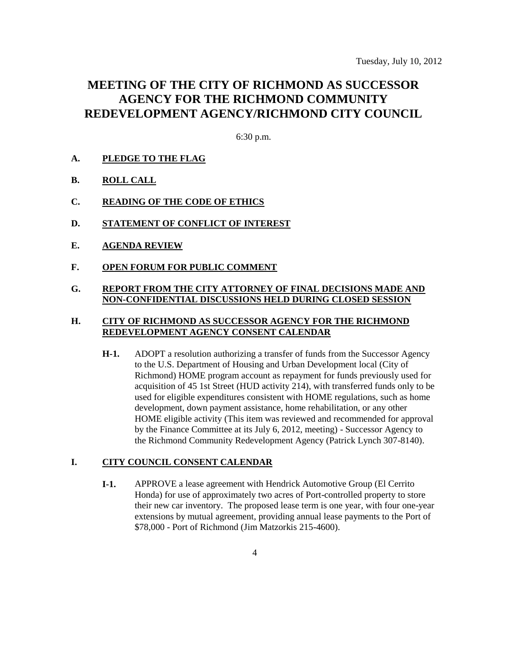### **MEETING OF THE CITY OF RICHMOND AS SUCCESSOR AGENCY FOR THE RICHMOND COMMUNITY REDEVELOPMENT AGENCY/RICHMOND CITY COUNCIL**

6:30 p.m.

- **A. PLEDGE TO THE FLAG**
- **B. ROLL CALL**
- **C. READING OF THE CODE OF ETHICS**
- **D. STATEMENT OF CONFLICT OF INTEREST**
- **E. AGENDA REVIEW**
- **F. OPEN FORUM FOR PUBLIC COMMENT**

### **G. REPORT FROM THE CITY ATTORNEY OF FINAL DECISIONS MADE AND NON-CONFIDENTIAL DISCUSSIONS HELD DURING CLOSED SESSION**

#### **H. CITY OF RICHMOND AS SUCCESSOR AGENCY FOR THE RICHMOND REDEVELOPMENT AGENCY CONSENT CALENDAR**

**H-1.** ADOPT a resolution authorizing a transfer of funds from the Successor Agency to the U.S. Department of Housing and Urban Development local (City of Richmond) HOME program account as repayment for funds previously used for acquisition of 45 1st Street (HUD activity 214), with transferred funds only to be used for eligible expenditures consistent with HOME regulations, such as home development, down payment assistance, home rehabilitation, or any other HOME eligible activity (This item was reviewed and recommended for approval by the Finance Committee at its July 6, 2012, meeting) - Successor Agency to the Richmond Community Redevelopment Agency (Patrick Lynch 307-8140).

### **I. CITY COUNCIL CONSENT CALENDAR**

**I-1.** APPROVE a lease agreement with Hendrick Automotive Group (El Cerrito Honda) for use of approximately two acres of Port-controlled property to store their new car inventory. The proposed lease term is one year, with four one-year extensions by mutual agreement, providing annual lease payments to the Port of \$78,000 - Port of Richmond (Jim Matzorkis 215-4600).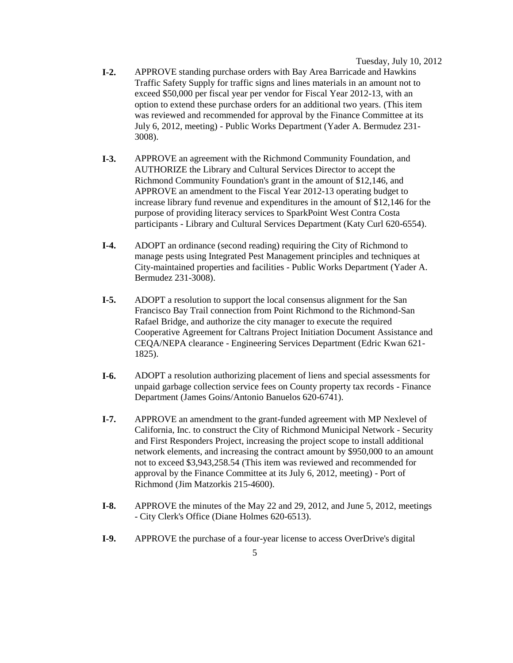Tuesday, July 10, 2012

- **I-2.** APPROVE standing purchase orders with Bay Area Barricade and Hawkins Traffic Safety Supply for traffic signs and lines materials in an amount not to exceed \$50,000 per fiscal year per vendor for Fiscal Year 2012-13, with an option to extend these purchase orders for an additional two years. (This item was reviewed and recommended for approval by the Finance Committee at its July 6, 2012, meeting) *-* Public Works Department (Yader A. Bermudez 231- 3008).
- **I-3.** APPROVE an agreement with the Richmond Community Foundation, and AUTHORIZE the Library and Cultural Services Director to accept the Richmond Community Foundation's grant in the amount of \$12,146, and APPROVE an amendment to the Fiscal Year 2012-13 operating budget to increase library fund revenue and expenditures in the amount of \$12,146 for the purpose of providing literacy services to SparkPoint West Contra Costa participants - Library and Cultural Services Department (Katy Curl 620-6554).
- **I-4.** ADOPT an ordinance (second reading) requiring the City of Richmond to manage pests using Integrated Pest Management principles and techniques at City-maintained properties and facilities - Public Works Department (Yader A. Bermudez 231-3008).
- **I-5.** ADOPT a resolution to support the local consensus alignment for the San Francisco Bay Trail connection from Point Richmond to the Richmond-San Rafael Bridge, and authorize the city manager to execute the required Cooperative Agreement for Caltrans Project Initiation Document Assistance and CEQA/NEPA clearance - Engineering Services Department (Edric Kwan 621- 1825).
- **I-6.** ADOPT a resolution authorizing placement of liens and special assessments for unpaid garbage collection service fees on County property tax records - Finance Department (James Goins/Antonio Banuelos 620-6741).
- **I-7.** APPROVE an amendment to the grant-funded agreement with MP Nexlevel of California, Inc. to construct the City of Richmond Municipal Network - Security and First Responders Project, increasing the project scope to install additional network elements, and increasing the contract amount by \$950,000 to an amount not to exceed \$3,943,258.54 (This item was reviewed and recommended for approval by the Finance Committee at its July 6, 2012, meeting) - Port of Richmond (Jim Matzorkis 215-4600).
- **I-8.** APPROVE the minutes of the May 22 and 29, 2012, and June 5, 2012, meetings - City Clerk's Office (Diane Holmes 620-6513).
- **I-9.** APPROVE the purchase of a four-year license to access OverDrive's digital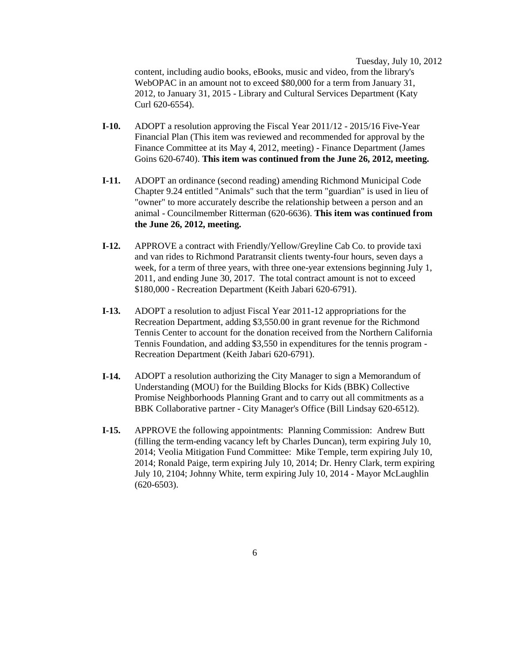Tuesday, July 10, 2012

content, including audio books, eBooks, music and video, from the library's WebOPAC in an amount not to exceed \$80,000 for a term from January 31, 2012, to January 31, 2015 - Library and Cultural Services Department (Katy Curl 620-6554).

- **I-10.** ADOPT a resolution approving the Fiscal Year 2011/12 2015/16 Five-Year Financial Plan (This item was reviewed and recommended for approval by the Finance Committee at its May 4, 2012, meeting) - Finance Department (James Goins 620-6740). **This item was continued from the June 26, 2012, meeting.**
- **I-11.** ADOPT an ordinance (second reading) amending Richmond Municipal Code Chapter 9.24 entitled "Animals" such that the term "guardian" is used in lieu of "owner" to more accurately describe the relationship between a person and an animal - Councilmember Ritterman (620-6636). **This item was continued from the June 26, 2012, meeting.**
- **I-12.** APPROVE a contract with Friendly/Yellow/Greyline Cab Co. to provide taxi and van rides to Richmond Paratransit clients twenty-four hours, seven days a week, for a term of three years, with three one-year extensions beginning July 1, 2011, and ending June 30, 2017. The total contract amount is not to exceed \$180,000 - Recreation Department (Keith Jabari 620-6791).
- **I-13.** ADOPT a resolution to adjust Fiscal Year 2011-12 appropriations for the Recreation Department, adding \$3,550.00 in grant revenue for the Richmond Tennis Center to account for the donation received from the Northern California Tennis Foundation, and adding \$3,550 in expenditures for the tennis program - Recreation Department (Keith Jabari 620-6791).
- **I-14.** ADOPT a resolution authorizing the City Manager to sign a Memorandum of Understanding (MOU) for the Building Blocks for Kids (BBK) Collective Promise Neighborhoods Planning Grant and to carry out all commitments as a BBK Collaborative partner - City Manager's Office (Bill Lindsay 620-6512).
- **I-15.** APPROVE the following appointments: Planning Commission: Andrew Butt (filling the term-ending vacancy left by Charles Duncan), term expiring July 10, 2014; Veolia Mitigation Fund Committee: Mike Temple, term expiring July 10, 2014; Ronald Paige, term expiring July 10, 2014; Dr. Henry Clark, term expiring July 10, 2104; Johnny White, term expiring July 10, 2014 - Mayor McLaughlin (620-6503).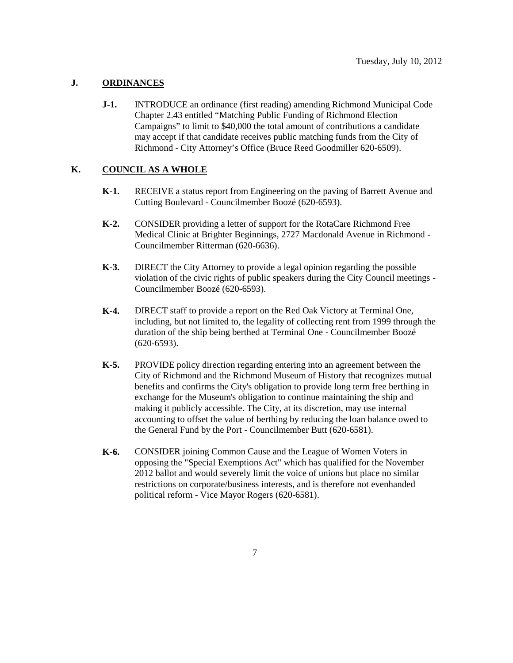### **J. ORDINANCES**

**J-1.** INTRODUCE an ordinance (first reading) amending Richmond Municipal Code Chapter 2.43 entitled "Matching Public Funding of Richmond Election Campaigns" to limit to \$40,000 the total amount of contributions a candidate may accept if that candidate receives public matching funds from the City of Richmond - City Attorney's Office (Bruce Reed Goodmiller 620-6509).

### **K. COUNCIL AS A WHOLE**

- **K-1.** RECEIVE a status report from Engineering on the paving of Barrett Avenue and Cutting Boulevard - Councilmember Boozé (620-6593).
- **K-2.** CONSIDER providing a letter of support for the RotaCare Richmond Free Medical Clinic at Brighter Beginnings, 2727 Macdonald Avenue in Richmond - Councilmember Ritterman (620-6636).
- **K-3.** DIRECT the City Attorney to provide a legal opinion regarding the possible violation of the civic rights of public speakers during the City Council meetings - Councilmember Boozé (620-6593).
- **K-4.** DIRECT staff to provide a report on the Red Oak Victory at Terminal One, including, but not limited to, the legality of collecting rent from 1999 through the duration of the ship being berthed at Terminal One - Councilmember Boozé (620-6593).
- **K-5.** PROVIDE policy direction regarding entering into an agreement between the City of Richmond and the Richmond Museum of History that recognizes mutual benefits and confirms the City's obligation to provide long term free berthing in exchange for the Museum's obligation to continue maintaining the ship and making it publicly accessible. The City, at its discretion, may use internal accounting to offset the value of berthing by reducing the loan balance owed to the General Fund by the Port - Councilmember Butt (620-6581).
- **K-6.** CONSIDER joining Common Cause and the League of Women Voters in opposing the "Special Exemptions Act" which has qualified for the November 2012 ballot and would severely limit the voice of unions but place no similar restrictions on corporate/business interests, and is therefore not evenhanded political reform - Vice Mayor Rogers (620-6581).